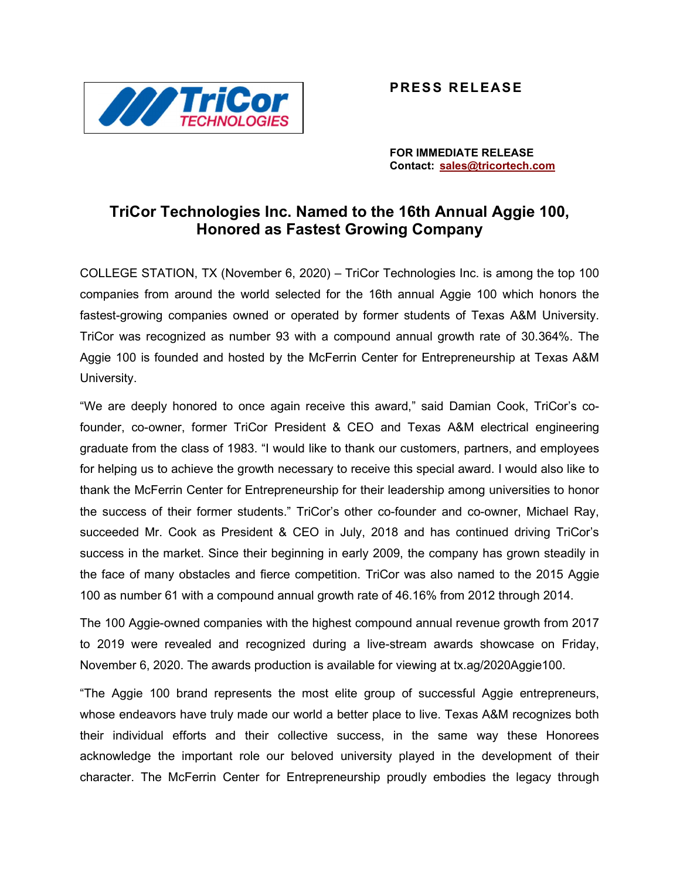

## PRESS RELEASE

FOR IMMEDIATE RELEASE Contact: sales@tricortech.com

## TriCor Technologies Inc. Named to the 16th Annual Aggie 100, Honored as Fastest Growing Company

COLLEGE STATION, TX (November 6, 2020) – TriCor Technologies Inc. is among the top 100 companies from around the world selected for the 16th annual Aggie 100 which honors the fastest-growing companies owned or operated by former students of Texas A&M University. TriCor was recognized as number 93 with a compound annual growth rate of 30.364%. The Aggie 100 is founded and hosted by the McFerrin Center for Entrepreneurship at Texas A&M University.

"We are deeply honored to once again receive this award," said Damian Cook, TriCor's cofounder, co-owner, former TriCor President & CEO and Texas A&M electrical engineering graduate from the class of 1983. "I would like to thank our customers, partners, and employees for helping us to achieve the growth necessary to receive this special award. I would also like to thank the McFerrin Center for Entrepreneurship for their leadership among universities to honor the success of their former students." TriCor's other co-founder and co-owner, Michael Ray, succeeded Mr. Cook as President & CEO in July, 2018 and has continued driving TriCor's success in the market. Since their beginning in early 2009, the company has grown steadily in the face of many obstacles and fierce competition. TriCor was also named to the 2015 Aggie 100 as number 61 with a compound annual growth rate of 46.16% from 2012 through 2014.

The 100 Aggie-owned companies with the highest compound annual revenue growth from 2017 to 2019 were revealed and recognized during a live-stream awards showcase on Friday, November 6, 2020. The awards production is available for viewing at tx.ag/2020Aggie100.

"The Aggie 100 brand represents the most elite group of successful Aggie entrepreneurs, whose endeavors have truly made our world a better place to live. Texas A&M recognizes both their individual efforts and their collective success, in the same way these Honorees acknowledge the important role our beloved university played in the development of their character. The McFerrin Center for Entrepreneurship proudly embodies the legacy through